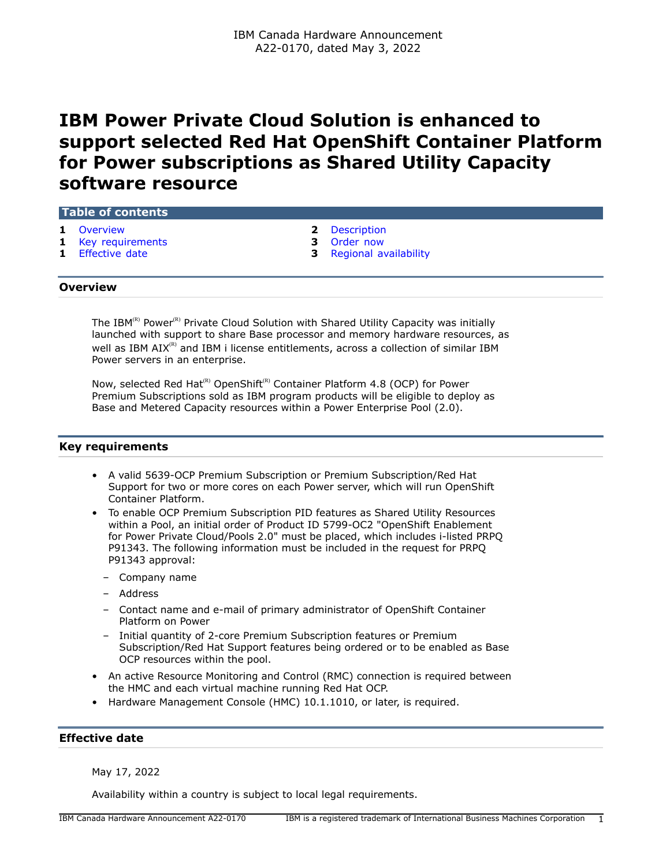# **IBM Power Private Cloud Solution is enhanced to support selected Red Hat OpenShift Container Platform for Power subscriptions as Shared Utility Capacity software resource**

#### **Table of contents**

- 
- **1** [Key requirements](#page-0-1) **3** [Order now](#page-2-0)
- 
- **1** [Overview](#page-0-0) **2** [Description](#page-1-0)
	-
- **1** [Effective date](#page-0-2) **3** [Regional availability](#page-2-1)

#### <span id="page-0-0"></span>**Overview**

The IBM $^{(R)}$  Power $^{(R)}$  Private Cloud Solution with Shared Utility Capacity was initially launched with support to share Base processor and memory hardware resources, as well as IBM AIX<sup>(R)</sup> and IBM i license entitlements, across a collection of similar IBM Power servers in an enterprise.

Now, selected Red Hat<sup>(R)</sup> OpenShift<sup>(R)</sup> Container Platform 4.8 (OCP) for Power Premium Subscriptions sold as IBM program products will be eligible to deploy as Base and Metered Capacity resources within a Power Enterprise Pool (2.0).

## <span id="page-0-1"></span>**Key requirements**

- A valid 5639-OCP Premium Subscription or Premium Subscription/Red Hat Support for two or more cores on each Power server, which will run OpenShift Container Platform.
- To enable OCP Premium Subscription PID features as Shared Utility Resources within a Pool, an initial order of Product ID 5799-OC2 "OpenShift Enablement for Power Private Cloud/Pools 2.0" must be placed, which includes i-listed PRPQ P91343. The following information must be included in the request for PRPQ P91343 approval:
	- Company name
	- Address
	- Contact name and e-mail of primary administrator of OpenShift Container Platform on Power
	- Initial quantity of 2-core Premium Subscription features or Premium Subscription/Red Hat Support features being ordered or to be enabled as Base OCP resources within the pool.
- An active Resource Monitoring and Control (RMC) connection is required between the HMC and each virtual machine running Red Hat OCP.
- Hardware Management Console (HMC) 10.1.1010, or later, is required.

## <span id="page-0-2"></span>**Effective date**

May 17, 2022

Availability within a country is subject to local legal requirements.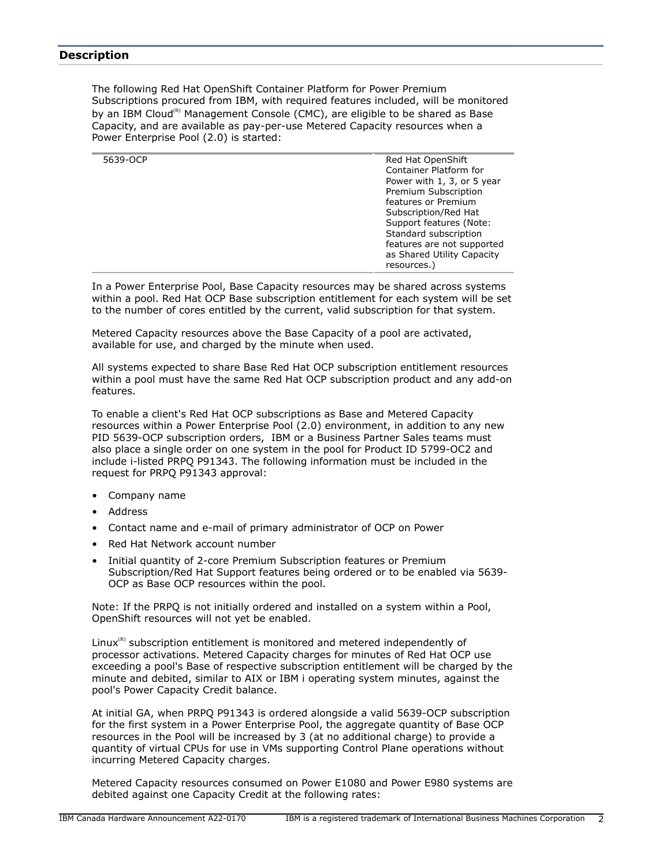## <span id="page-1-0"></span>**Description**

The following Red Hat OpenShift Container Platform for Power Premium Subscriptions procured from IBM, with required features included, will be monitored by an IBM Cloud<sup>(R)</sup> Management Console (CMC), are eligible to be shared as Base Capacity, and are available as pay-per-use Metered Capacity resources when a Power Enterprise Pool (2.0) is started:

| 5639-OCP | Red Hat OpenShift          |
|----------|----------------------------|
|          | Container Platform for     |
|          | Power with 1, 3, or 5 year |
|          | Premium Subscription       |
|          | features or Premium        |
|          | Subscription/Red Hat       |
|          | Support features (Note:    |
|          | Standard subscription      |
|          | features are not supported |
|          | as Shared Utility Capacity |
|          | resources.)                |
|          |                            |

In a Power Enterprise Pool, Base Capacity resources may be shared across systems within a pool. Red Hat OCP Base subscription entitlement for each system will be set to the number of cores entitled by the current, valid subscription for that system.

Metered Capacity resources above the Base Capacity of a pool are activated, available for use, and charged by the minute when used.

All systems expected to share Base Red Hat OCP subscription entitlement resources within a pool must have the same Red Hat OCP subscription product and any add-on features.

To enable a client's Red Hat OCP subscriptions as Base and Metered Capacity resources within a Power Enterprise Pool (2.0) environment, in addition to any new PID 5639-OCP subscription orders, IBM or a Business Partner Sales teams must also place a single order on one system in the pool for Product ID 5799-OC2 and include i-listed PRPQ P91343. The following information must be included in the request for PRPQ P91343 approval:

- Company name
- Address
- Contact name and e-mail of primary administrator of OCP on Power
- Red Hat Network account number
- Initial quantity of 2-core Premium Subscription features or Premium Subscription/Red Hat Support features being ordered or to be enabled via 5639- OCP as Base OCP resources within the pool.

Note: If the PRPQ is not initially ordered and installed on a system within a Pool, OpenShift resources will not yet be enabled.

Linux $R$ <sup>R)</sup> subscription entitlement is monitored and metered independently of processor activations. Metered Capacity charges for minutes of Red Hat OCP use exceeding a pool's Base of respective subscription entitlement will be charged by the minute and debited, similar to AIX or IBM i operating system minutes, against the pool's Power Capacity Credit balance.

At initial GA, when PRPQ P91343 is ordered alongside a valid 5639-OCP subscription for the first system in a Power Enterprise Pool, the aggregate quantity of Base OCP resources in the Pool will be increased by 3 (at no additional charge) to provide a quantity of virtual CPUs for use in VMs supporting Control Plane operations without incurring Metered Capacity charges.

Metered Capacity resources consumed on Power E1080 and Power E980 systems are debited against one Capacity Credit at the following rates: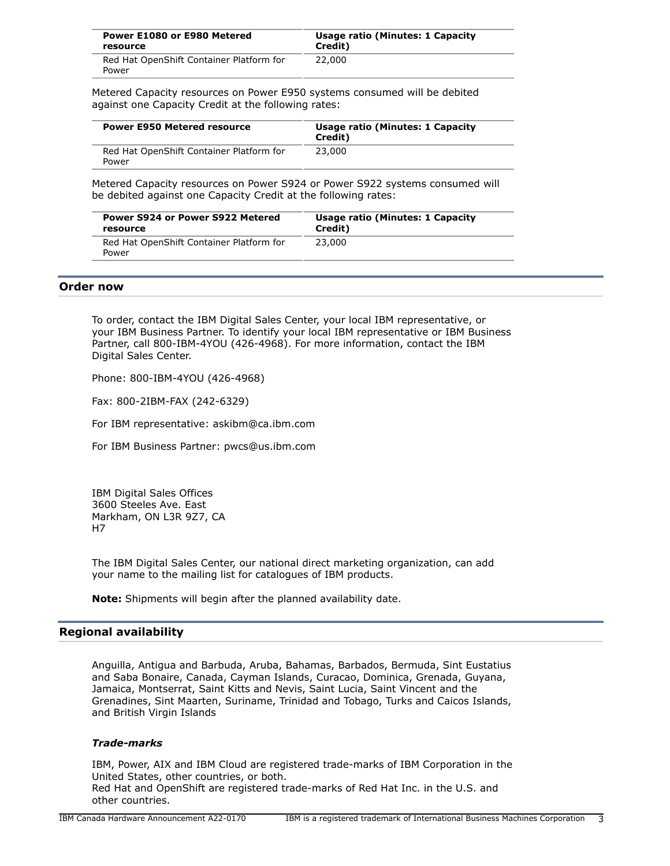| Power E1080 or E980 Metered                       | Usage ratio (Minutes: 1 Capacity |
|---------------------------------------------------|----------------------------------|
| resource                                          | Credit)                          |
| Red Hat OpenShift Container Platform for<br>Power | 22,000                           |

Metered Capacity resources on Power E950 systems consumed will be debited against one Capacity Credit at the following rates:

| <b>Power E950 Metered resource</b>                | Usage ratio (Minutes: 1 Capacity<br>Credit) |
|---------------------------------------------------|---------------------------------------------|
| Red Hat OpenShift Container Platform for<br>Power | 23,000                                      |

Metered Capacity resources on Power S924 or Power S922 systems consumed will be debited against one Capacity Credit at the following rates:

| Power S924 or Power S922 Metered                  | Usage ratio (Minutes: 1 Capacity |
|---------------------------------------------------|----------------------------------|
| resource                                          | Credit)                          |
| Red Hat OpenShift Container Platform for<br>Power | 23,000                           |

#### <span id="page-2-0"></span>**Order now**

To order, contact the IBM Digital Sales Center, your local IBM representative, or your IBM Business Partner. To identify your local IBM representative or IBM Business Partner, call 800-IBM-4YOU (426-4968). For more information, contact the IBM Digital Sales Center.

Phone: 800-IBM-4YOU (426-4968)

Fax: 800-2IBM-FAX (242-6329)

For IBM representative: askibm@ca.ibm.com

For IBM Business Partner: pwcs@us.ibm.com

IBM Digital Sales Offices 3600 Steeles Ave. East Markham, ON L3R 9Z7, CA H7

The IBM Digital Sales Center, our national direct marketing organization, can add your name to the mailing list for catalogues of IBM products.

**Note:** Shipments will begin after the planned availability date.

## <span id="page-2-1"></span>**Regional availability**

Anguilla, Antigua and Barbuda, Aruba, Bahamas, Barbados, Bermuda, Sint Eustatius and Saba Bonaire, Canada, Cayman Islands, Curacao, Dominica, Grenada, Guyana, Jamaica, Montserrat, Saint Kitts and Nevis, Saint Lucia, Saint Vincent and the Grenadines, Sint Maarten, Suriname, Trinidad and Tobago, Turks and Caicos Islands, and British Virgin Islands

## *Trade-marks*

IBM, Power, AIX and IBM Cloud are registered trade-marks of IBM Corporation in the United States, other countries, or both. Red Hat and OpenShift are registered trade-marks of Red Hat Inc. in the U.S. and other countries.